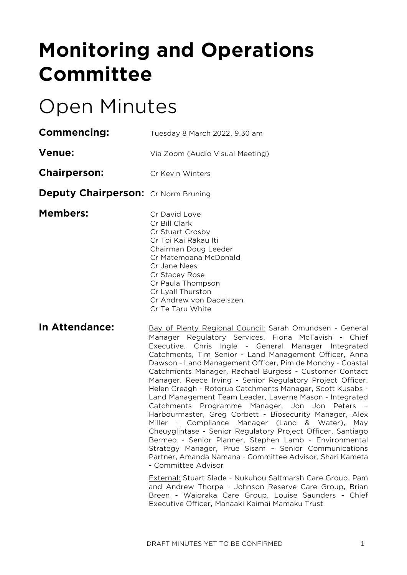# **Monitoring and Operations Committee**

# Open Minutes

| <b>Commencing:</b>                         | Tuesday 8 March 2022, 9.30 am                                                                                                                                                                                                                          |
|--------------------------------------------|--------------------------------------------------------------------------------------------------------------------------------------------------------------------------------------------------------------------------------------------------------|
| <b>Venue:</b>                              | Via Zoom (Audio Visual Meeting)                                                                                                                                                                                                                        |
| <b>Chairperson:</b>                        | Cr Kevin Winters                                                                                                                                                                                                                                       |
| <b>Deputy Chairperson:</b> Cr Norm Bruning |                                                                                                                                                                                                                                                        |
| <b>Members:</b>                            | Cr David Love<br>Cr Bill Clark<br>Cr Stuart Crosby<br>Cr Toi Kai Rākau Iti<br>Chairman Doug Leeder<br>Cr Matemoana McDonald<br>Cr Jane Nees<br>Cr Stacey Rose<br>Cr Paula Thompson<br>Cr Lyall Thurston<br>Cr Andrew von Dadelszen<br>Cr Te Taru White |
| In Attendance:                             | <b>Bay of Plenty Regional Council: S</b><br>Manager Regulatory Services,<br>Executive, Chris Ingle - Gen<br>Catchments, Tim Senior - Land N<br>$D_2$ usan Land Managamant Office                                                                       |

**In Attendance:** Sarah Omundsen - General Fiona McTavish - Chief eral Manager Integrated Management Officer, Anna Dawson - Land Management Officer, Pim de Monchy - Coastal Catchments Manager, Rachael Burgess - Customer Contact Manager, Reece Irving - Senior Regulatory Project Officer, Helen Creagh - Rotorua Catchments Manager, Scott Kusabs - Land Management Team Leader, Laverne Mason - Integrated Catchments Programme Manager, Jon Jon Peters – Harbourmaster, Greg Corbett - Biosecurity Manager, Alex Miller - Compliance Manager (Land & Water), May Cheuyglintase - Senior Regulatory Project Officer, Santiago Bermeo - Senior Planner, Stephen Lamb - Environmental Strategy Manager, Prue Sisam – Senior Communications Partner, Amanda Namana - Committee Advisor, Shari Kameta - Committee Advisor

> External: Stuart Slade - Nukuhou Saltmarsh Care Group, Pam and Andrew Thorpe - Johnson Reserve Care Group, Brian Breen - Waioraka Care Group, Louise Saunders - Chief Executive Officer, Manaaki Kaimai Mamaku Trust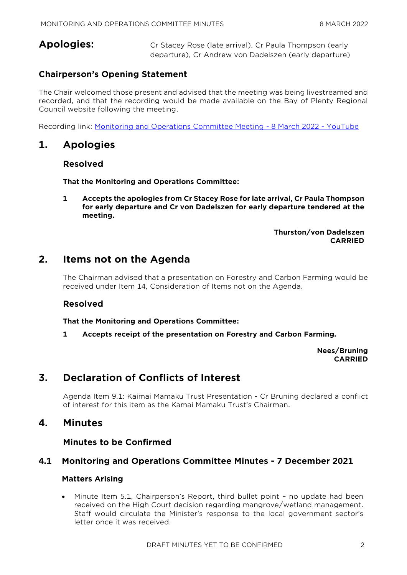**Apologies:** Cr Stacey Rose (late arrival), Cr Paula Thompson (early departure), Cr Andrew von Dadelszen (early departure)

# **Chairperson's Opening Statement**

The Chair welcomed those present and advised that the meeting was being livestreamed and recorded, and that the recording would be made available on the Bay of Plenty Regional Council website following the meeting.

Recording link: [Monitoring and Operations Committee Meeting -](https://www.youtube.com/watch?v=bMe-9R7cmj8) 8 March 2022 - YouTube

# **1. Apologies**

# **Resolved**

**That the Monitoring and Operations Committee:**

**1 Accepts the apologies from Cr Stacey Rose for late arrival, Cr Paula Thompson for early departure and Cr von Dadelszen for early departure tendered at the meeting.**

> **Thurston/von Dadelszen CARRIED**

# **2. Items not on the Agenda**

The Chairman advised that a presentation on Forestry and Carbon Farming would be received under Item 14, Consideration of Items not on the Agenda.

# **Resolved**

**That the Monitoring and Operations Committee:**

**1 Accepts receipt of the presentation on Forestry and Carbon Farming.**

**Nees/Bruning CARRIED**

# **3. Declaration of Conflicts of Interest**

Agenda Item 9.1: Kaimai Mamaku Trust Presentation - Cr Bruning declared a conflict of interest for this item as the Kamai Mamaku Trust's Chairman.

# **4. Minutes**

**Minutes to be Confirmed**

# **4.1 Monitoring and Operations Committee Minutes - 7 December 2021**

#### **Matters Arising**

 Minute Item 5.1, Chairperson's Report, third bullet point – no update had been received on the High Court decision regarding mangrove/wetland management. Staff would circulate the Minister's response to the local government sector's letter once it was received.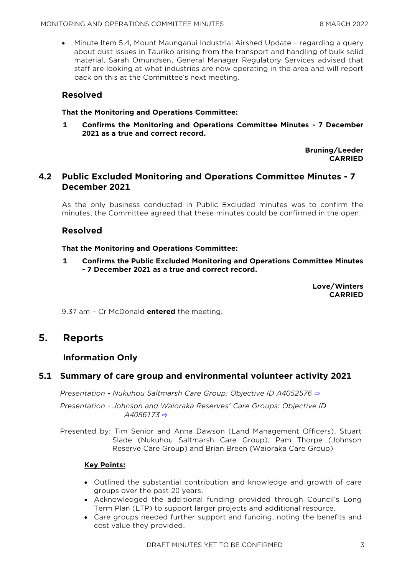Minute Item 5.4, Mount Maunganui Industrial Airshed Update – regarding a query about dust issues in Tauriko arising from the transport and handling of bulk solid material, Sarah Omundsen, General Manager Regulatory Services advised that staff are looking at what industries are now operating in the area and will report back on this at the Committee's next meeting.

# **Resolved**

#### **That the Monitoring and Operations Committee:**

**1 Confirms the Monitoring and Operations Committee Minutes - 7 December 2021 as a true and correct record.**

> **Bruning/Leeder CARRIED**

# **4.2 Public Excluded Monitoring and Operations Committee Minutes - 7 December 2021**

As the only business conducted in Public Excluded minutes was to confirm the minutes, the Committee agreed that these minutes could be confirmed in the open.

# **Resolved**

#### **That the Monitoring and Operations Committee:**

**1 Confirms the Public Excluded Monitoring and Operations Committee Minutes - 7 December 2021 as a true and correct record.**

> **Love/Winters CARRIED**

9.37 am – Cr McDonald **entered** the meeting.

# **5. Reports**

# **Information Only**

# **5.1 Summary of care group and environmental volunteer activity 2021**

*Presentation - Nukuhou Saltmarsh Care Group: Objective ID A4052576* [⇨](../../../RedirectToInvalidFileName.aspx?FileName=MO_20220308_MAT_3481.PDF#PAGE=2)

*Presentation - Johnson and Waioraka Reserves' Care Groups: Objective ID A4056173* [⇨](../../../RedirectToInvalidFileName.aspx?FileName=MO_20220308_MAT_3481.PDF#PAGE=15)

Presented by: Tim Senior and Anna Dawson (Land Management Officers), Stuart Slade (Nukuhou Saltmarsh Care Group), Pam Thorpe (Johnson Reserve Care Group) and Brian Breen (Waioraka Care Group)

#### **Key Points:**

- Outlined the substantial contribution and knowledge and growth of care groups over the past 20 years.
- Acknowledged the additional funding provided through Council's Long Term Plan (LTP) to support larger projects and additional resource.
- Care groups needed further support and funding, noting the benefits and cost value they provided.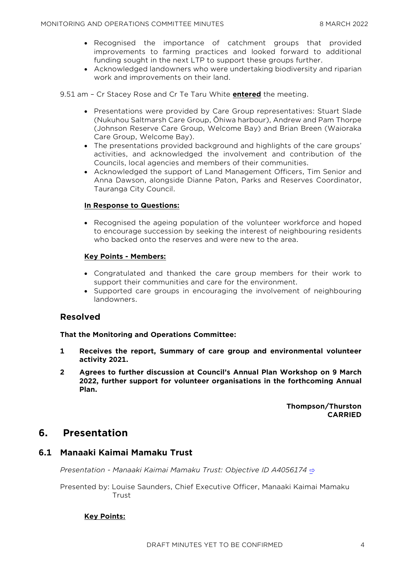- Recognised the importance of catchment groups that provided improvements to farming practices and looked forward to additional funding sought in the next LTP to support these groups further.
- Acknowledged landowners who were undertaking biodiversity and riparian work and improvements on their land.

9.51 am – Cr Stacey Rose and Cr Te Taru White **entered** the meeting.

- Presentations were provided by Care Group representatives: Stuart Slade (Nukuhou Saltmarsh Care Group, Ōhiwa harbour), Andrew and Pam Thorpe (Johnson Reserve Care Group, Welcome Bay) and Brian Breen (Waioraka Care Group, Welcome Bay).
- The presentations provided background and highlights of the care groups' activities, and acknowledged the involvement and contribution of the Councils, local agencies and members of their communities.
- Acknowledged the support of Land Management Officers, Tim Senior and Anna Dawson, alongside Dianne Paton, Parks and Reserves Coordinator, Tauranga City Council.

#### **In Response to Questions:**

• Recognised the ageing population of the volunteer workforce and hoped to encourage succession by seeking the interest of neighbouring residents who backed onto the reserves and were new to the area.

#### **Key Points - Members:**

- Congratulated and thanked the care group members for their work to support their communities and care for the environment.
- Supported care groups in encouraging the involvement of neighbouring landowners.

#### **Resolved**

#### **That the Monitoring and Operations Committee:**

- **1 Receives the report, Summary of care group and environmental volunteer activity 2021.**
- **2 Agrees to further discussion at Council's Annual Plan Workshop on 9 March 2022, further support for volunteer organisations in the forthcoming Annual Plan.**

**Thompson/Thurston CARRIED**

# **6. Presentation**

# **6.1 Manaaki Kaimai Mamaku Trust**

*Presentation - Manaaki Kaimai Mamaku Trust: Objective ID A4056174* [⇨](../../../RedirectToInvalidFileName.aspx?FileName=MO_20220308_MAT_3481.PDF#PAGE=39)

Presented by: Louise Saunders, Chief Executive Officer, Manaaki Kaimai Mamaku Trust

#### **Key Points:**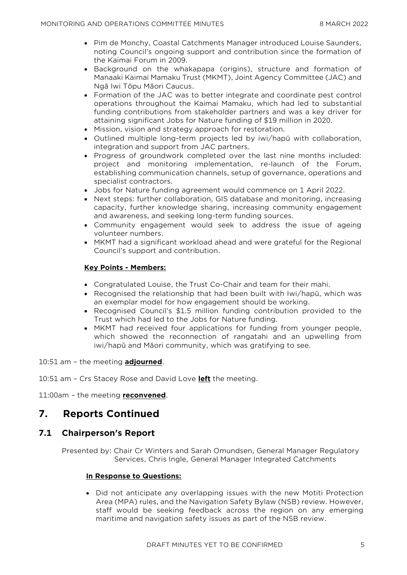- Pim de Monchy, Coastal Catchments Manager introduced Louise Saunders, noting Council's ongoing support and contribution since the formation of the Kaimai Forum in 2009.
- Background on the whakapapa (origins), structure and formation of Manaaki Kaimai Mamaku Trust (MKMT), Joint Agency Committee (JAC) and Ngā Iwi Tōpu Māori Caucus.
- Formation of the JAC was to better integrate and coordinate pest control operations throughout the Kaimai Mamaku, which had led to substantial funding contributions from stakeholder partners and was a key driver for attaining significant Jobs for Nature funding of \$19 million in 2020.
- Mission, vision and strategy approach for restoration.
- Outlined multiple long-term projects led by iwi/hapū with collaboration, integration and support from JAC partners.
- Progress of groundwork completed over the last nine months included: project and monitoring implementation, re-launch of the Forum, establishing communication channels, setup of governance, operations and specialist contractors.
- Jobs for Nature funding agreement would commence on 1 April 2022.
- Next steps: further collaboration, GIS database and monitoring, increasing capacity, further knowledge sharing, increasing community engagement and awareness, and seeking long-term funding sources.
- Community engagement would seek to address the issue of ageing volunteer numbers.
- MKMT had a significant workload ahead and were grateful for the Regional Council's support and contribution.

#### **Key Points - Members:**

- Congratulated Louise, the Trust Co-Chair and team for their mahi.
- Recognised the relationship that had been built with Iwi/hapū, which was an exemplar model for how engagement should be working.
- Recognised Council's \$1.5 million funding contribution provided to the Trust which had led to the Jobs for Nature funding.
- MKMT had received four applications for funding from younger people, which showed the reconnection of rangatahi and an upwelling from iwi/hapū and Māori community, which was gratifying to see.

10:51 am – the meeting **adjourned**.

10:51 am – Crs Stacey Rose and David Love **left** the meeting.

11:00am – the meeting **reconvened**.

# **7. Reports Continued**

# **7.1 Chairperson's Report**

Presented by: Chair Cr Winters and Sarah Omundsen, General Manager Regulatory Services, Chris Ingle, General Manager Integrated Catchments

#### **In Response to Questions:**

 Did not anticipate any overlapping issues with the new Motiti Protection Area (MPA) rules, and the Navigation Safety Bylaw (NSB) review. However, staff would be seeking feedback across the region on any emerging maritime and navigation safety issues as part of the NSB review.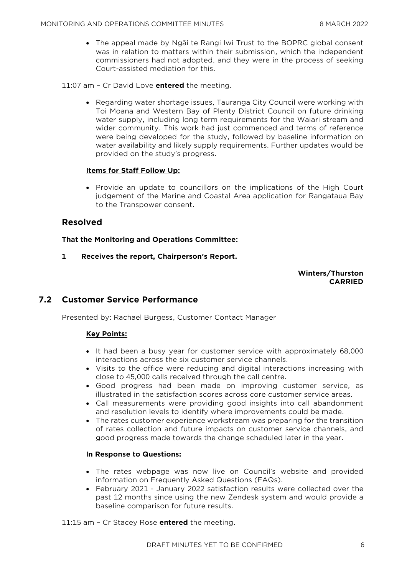The appeal made by Ngāi te Rangi Iwi Trust to the BOPRC global consent was in relation to matters within their submission, which the independent commissioners had not adopted, and they were in the process of seeking Court-assisted mediation for this.

11:07 am – Cr David Love **entered** the meeting.

 Regarding water shortage issues, Tauranga City Council were working with Toi Moana and Western Bay of Plenty District Council on future drinking water supply, including long term requirements for the Waiari stream and wider community. This work had just commenced and terms of reference were being developed for the study, followed by baseline information on water availability and likely supply requirements. Further updates would be provided on the study's progress.

#### **Items for Staff Follow Up:**

• Provide an update to councillors on the implications of the High Court judgement of the Marine and Coastal Area application for Rangataua Bay to the Transpower consent.

# **Resolved**

**That the Monitoring and Operations Committee:**

**1 Receives the report, Chairperson's Report.**

**Winters/Thurston CARRIED**

# **7.2 Customer Service Performance**

Presented by: Rachael Burgess, Customer Contact Manager

#### **Key Points:**

- It had been a busy year for customer service with approximately 68,000 interactions across the six customer service channels.
- Visits to the office were reducing and digital interactions increasing with close to 45,000 calls received through the call centre.
- Good progress had been made on improving customer service, as illustrated in the satisfaction scores across core customer service areas.
- Call measurements were providing good insights into call abandonment and resolution levels to identify where improvements could be made.
- The rates customer experience workstream was preparing for the transition of rates collection and future impacts on customer service channels, and good progress made towards the change scheduled later in the year.

#### **In Response to Questions:**

- The rates webpage was now live on Council's website and provided information on Frequently Asked Questions (FAQs).
- February 2021 January 2022 satisfaction results were collected over the past 12 months since using the new Zendesk system and would provide a baseline comparison for future results.

11:15 am – Cr Stacey Rose **entered** the meeting.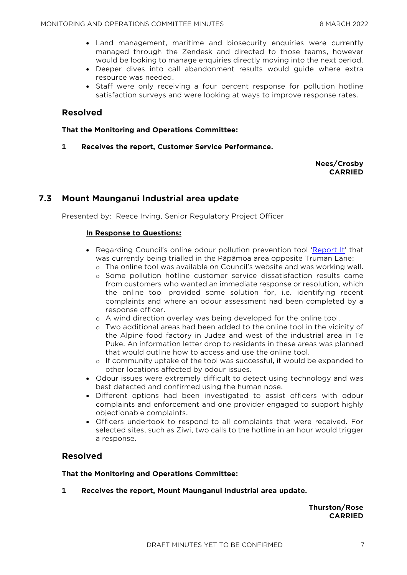- Land management, maritime and biosecurity enquiries were currently managed through the Zendesk and directed to those teams, however would be looking to manage enquiries directly moving into the next period.
- Deeper dives into call abandonment results would guide where extra resource was needed.
- Staff were only receiving a four percent response for pollution hotline satisfaction surveys and were looking at ways to improve response rates.

### **Resolved**

#### **That the Monitoring and Operations Committee:**

**1 Receives the report, Customer Service Performance.**

#### **Nees/Crosby CARRIED**

# **7.3 Mount Maunganui Industrial area update**

Presented by: Reece Irving, Senior Regulatory Project Officer

#### **In Response to Questions:**

- Regarding Council's online odour pollution prevention tool '[Report It](https://www.boprc.govt.nz/our-projects/report-it)' that was currently being trialled in the Pāpāmoa area opposite Truman Lane:
	- o The online tool was available on Council's website and was working well.
	- o Some pollution hotline customer service dissatisfaction results came from customers who wanted an immediate response or resolution, which the online tool provided some solution for, i.e. identifying recent complaints and where an odour assessment had been completed by a response officer.
	- o A wind direction overlay was being developed for the online tool.
	- o Two additional areas had been added to the online tool in the vicinity of the Alpine food factory in Judea and west of the industrial area in Te Puke. An information letter drop to residents in these areas was planned that would outline how to access and use the online tool.
	- o If community uptake of the tool was successful, it would be expanded to other locations affected by odour issues.
- Odour issues were extremely difficult to detect using technology and was best detected and confirmed using the human nose.
- Different options had been investigated to assist officers with odour complaints and enforcement and one provider engaged to support highly objectionable complaints.
- Officers undertook to respond to all complaints that were received. For selected sites, such as Ziwi, two calls to the hotline in an hour would trigger a response.

#### **Resolved**

#### **That the Monitoring and Operations Committee:**

**1 Receives the report, Mount Maunganui Industrial area update.**

#### **Thurston/Rose CARRIED**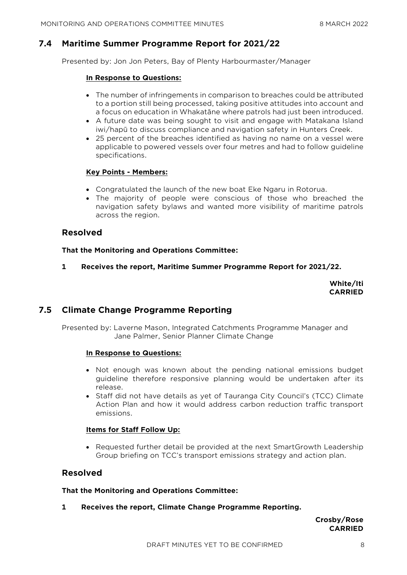# **7.4 Maritime Summer Programme Report for 2021/22**

Presented by: Jon Jon Peters, Bay of Plenty Harbourmaster/Manager

#### **In Response to Questions:**

- The number of infringements in comparison to breaches could be attributed to a portion still being processed, taking positive attitudes into account and a focus on education in Whakatāne where patrols had just been introduced.
- A future date was being sought to visit and engage with Matakana Island iwi/hapū to discuss compliance and navigation safety in Hunters Creek.
- 25 percent of the breaches identified as having no name on a vessel were applicable to powered vessels over four metres and had to follow guideline specifications.

#### **Key Points - Members:**

- Congratulated the launch of the new boat Eke Ngaru in Rotorua.
- The majority of people were conscious of those who breached the navigation safety bylaws and wanted more visibility of maritime patrols across the region.

#### **Resolved**

**That the Monitoring and Operations Committee:**

**1 Receives the report, Maritime Summer Programme Report for 2021/22.**

**White/Iti CARRIED**

# **7.5 Climate Change Programme Reporting**

Presented by: Laverne Mason, Integrated Catchments Programme Manager and Jane Palmer, Senior Planner Climate Change

#### **In Response to Questions:**

- Not enough was known about the pending national emissions budget guideline therefore responsive planning would be undertaken after its release.
- Staff did not have details as yet of Tauranga City Council's (TCC) Climate Action Plan and how it would address carbon reduction traffic transport emissions.

#### **Items for Staff Follow Up:**

 Requested further detail be provided at the next SmartGrowth Leadership Group briefing on TCC's transport emissions strategy and action plan.

#### **Resolved**

**That the Monitoring and Operations Committee:**

**1 Receives the report, Climate Change Programme Reporting.**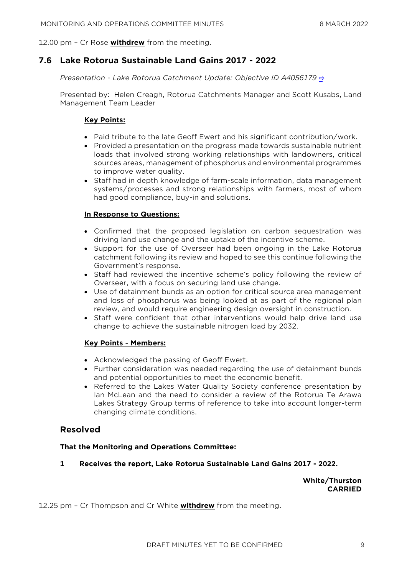12.00 pm – Cr Rose **withdrew** from the meeting.

# **7.6 Lake Rotorua Sustainable Land Gains 2017 - 2022**

*Presentation - Lake Rotorua Catchment Update: Objective ID A4056179* [⇨](../../../RedirectToInvalidFileName.aspx?FileName=MO_20220308_MAT_3481.PDF#PAGE=45)

Presented by: Helen Creagh, Rotorua Catchments Manager and Scott Kusabs, Land Management Team Leader

#### **Key Points:**

- Paid tribute to the late Geoff Ewert and his significant contribution/work.
- Provided a presentation on the progress made towards sustainable nutrient loads that involved strong working relationships with landowners, critical sources areas, management of phosphorus and environmental programmes to improve water quality.
- Staff had in depth knowledge of farm-scale information, data management systems/processes and strong relationships with farmers, most of whom had good compliance, buy-in and solutions.

#### **In Response to Questions:**

- Confirmed that the proposed legislation on carbon sequestration was driving land use change and the uptake of the incentive scheme.
- Support for the use of Overseer had been ongoing in the Lake Rotorua catchment following its review and hoped to see this continue following the Government's response.
- Staff had reviewed the incentive scheme's policy following the review of Overseer, with a focus on securing land use change.
- Use of detainment bunds as an option for critical source area management and loss of phosphorus was being looked at as part of the regional plan review, and would require engineering design oversight in construction.
- Staff were confident that other interventions would help drive land use change to achieve the sustainable nitrogen load by 2032.

#### **Key Points - Members:**

- Acknowledged the passing of Geoff Ewert.
- Further consideration was needed regarding the use of detainment bunds and potential opportunities to meet the economic benefit.
- Referred to the Lakes Water Quality Society conference presentation by Ian McLean and the need to consider a review of the Rotorua Te Arawa Lakes Strategy Group terms of reference to take into account longer-term changing climate conditions.

#### **Resolved**

#### **That the Monitoring and Operations Committee:**

**1 Receives the report, Lake Rotorua Sustainable Land Gains 2017 - 2022.**

**White/Thurston CARRIED**

12.25 pm – Cr Thompson and Cr White **withdrew** from the meeting.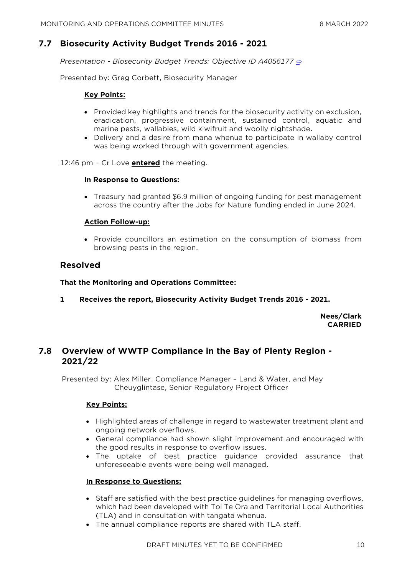# **7.7 Biosecurity Activity Budget Trends 2016 - 2021**

*Presentation - Biosecurity Budget Trends: Objective ID A4056177* [⇨](../../../RedirectToInvalidFileName.aspx?FileName=MO_20220308_MAT_3481.PDF#PAGE=56)

Presented by: Greg Corbett, Biosecurity Manager

#### **Key Points:**

- Provided key highlights and trends for the biosecurity activity on exclusion, eradication, progressive containment, sustained control, aquatic and marine pests, wallabies, wild kiwifruit and woolly nightshade.
- Delivery and a desire from mana whenua to participate in wallaby control was being worked through with government agencies.

12:46 pm – Cr Love **entered** the meeting.

#### **In Response to Questions:**

 Treasury had granted \$6.9 million of ongoing funding for pest management across the country after the Jobs for Nature funding ended in June 2024.

#### **Action Follow-up:**

• Provide councillors an estimation on the consumption of biomass from browsing pests in the region.

# **Resolved**

#### **That the Monitoring and Operations Committee:**

**1 Receives the report, Biosecurity Activity Budget Trends 2016 - 2021.**

**Nees/Clark CARRIED**

# **7.8 Overview of WWTP Compliance in the Bay of Plenty Region - 2021/22**

Presented by: Alex Miller, Compliance Manager – Land & Water, and May Cheuyglintase, Senior Regulatory Project Officer

#### **Key Points:**

- Highlighted areas of challenge in regard to wastewater treatment plant and ongoing network overflows.
- General compliance had shown slight improvement and encouraged with the good results in response to overflow issues.
- The uptake of best practice guidance provided assurance that unforeseeable events were being well managed.

#### **In Response to Questions:**

- Staff are satisfied with the best practice guidelines for managing overflows, which had been developed with Toi Te Ora and Territorial Local Authorities (TLA) and in consultation with tangata whenua.
- The annual compliance reports are shared with TLA staff.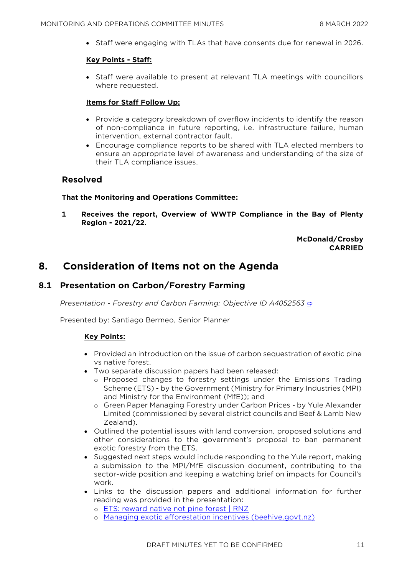Staff were engaging with TLAs that have consents due for renewal in 2026.

#### **Key Points - Staff:**

 Staff were available to present at relevant TLA meetings with councillors where requested.

#### **Items for Staff Follow Up:**

- Provide a category breakdown of overflow incidents to identify the reason of non-compliance in future reporting, i.e. infrastructure failure, human intervention, external contractor fault.
- Encourage compliance reports to be shared with TLA elected members to ensure an appropriate level of awareness and understanding of the size of their TLA compliance issues.

# **Resolved**

#### **That the Monitoring and Operations Committee:**

**1 Receives the report, Overview of WWTP Compliance in the Bay of Plenty Region - 2021/22.**

### **McDonald/Crosby CARRIED**

# **8. Consideration of Items not on the Agenda**

# **8.1 Presentation on Carbon/Forestry Farming**

*Presentation - Forestry and Carbon Farming: Objective ID A4052563* [⇨](../../../RedirectToInvalidFileName.aspx?FileName=MO_20220308_MAT_3481.PDF#PAGE=67)

Presented by: Santiago Bermeo, Senior Planner

#### **Key Points:**

- Provided an introduction on the issue of carbon sequestration of exotic pine vs native forest.
- Two separate discussion papers had been released:
	- o Proposed changes to forestry settings under the Emissions Trading Scheme (ETS) - by the Government (Ministry for Primary Industries (MPI) and Ministry for the Environment (MfE)); and
	- o Green Paper Managing Forestry under Carbon Prices by Yule Alexander Limited (commissioned by several district councils and Beef & Lamb New Zealand).
- Outlined the potential issues with land conversion, proposed solutions and other considerations to the government's proposal to ban permanent exotic forestry from the ETS.
- Suggested next steps would include responding to the Yule report, making a submission to the MPI/MfE discussion document, contributing to the sector-wide position and keeping a watching brief on impacts for Council's work.
- Links to the discussion papers and additional information for further reading was provided in the presentation:
	- o [ETS: reward native not pine forest | RNZ](https://www.rnz.co.nz/national/programmes/ninetonoon/audio/2018833209/ets-reward-native-not-pine-forest)
	- o [Managing exotic afforestation incentives \(beehive.govt.nz\)](https://www.beehive.govt.nz/sites/default/files/2022-03/2022%20ETS%20Forestry%20-%20Discussion%20Document%20on%20Managing%20exotic%20afforestation%20incentives.pdf)